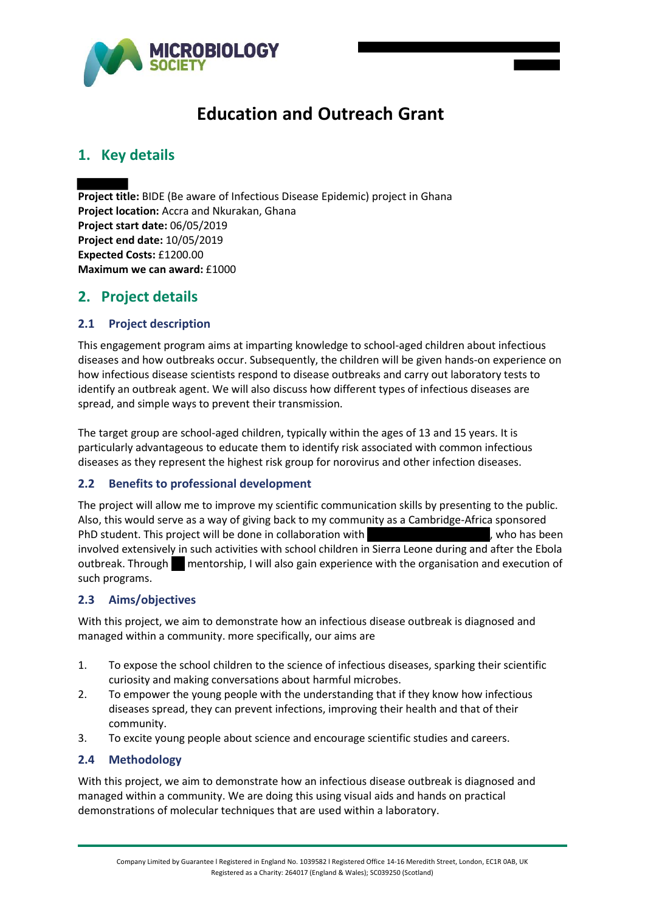

# **Education and Outreach Grant**

# **1. Key details**

**Project title:** BIDE (Be aware of Infectious Disease Epidemic) project in Ghana **Project location:** Accra and Nkurakan, Ghana **Project start date:** 06/05/2019 **Project end date:** 10/05/2019 **Expected Costs:** £1200.00 **Maximum we can award:** £1000

# **2. Project details**

### **2.1 Project description**

This engagement program aims at imparting knowledge to school-aged children about infectious diseases and how outbreaks occur. Subsequently, the children will be given hands-on experience on how infectious disease scientists respond to disease outbreaks and carry out laboratory tests to identify an outbreak agent. We will also discuss how different types of infectious diseases are spread, and simple ways to prevent their transmission.

The target group are school-aged children, typically within the ages of 13 and 15 years. It is particularly advantageous to educate them to identify risk associated with common infectious diseases as they represent the highest risk group for norovirus and other infection diseases.

# **2.2 Benefits to professional development**

The project will allow me to improve my scientific communication skills by presenting to the public. Also, this would serve as a way of giving back to my community as a Cambridge-Africa sponsored PhD student. This project will be done in collaboration with the manufacture of the has been involved extensively in such activities with school children in Sierra Leone during and after the Ebola outbreak. Through mentorship, I will also gain experience with the organisation and execution of such programs.

#### **2.3 Aims/objectives**

With this project, we aim to demonstrate how an infectious disease outbreak is diagnosed and managed within a community. more specifically, our aims are

- 1. To expose the school children to the science of infectious diseases, sparking their scientific curiosity and making conversations about harmful microbes.
- 2. To empower the young people with the understanding that if they know how infectious diseases spread, they can prevent infections, improving their health and that of their community.
- 3. To excite young people about science and encourage scientific studies and careers.

#### **2.4 Methodology**

With this project, we aim to demonstrate how an infectious disease outbreak is diagnosed and managed within a community. We are doing this using visual aids and hands on practical demonstrations of molecular techniques that are used within a laboratory.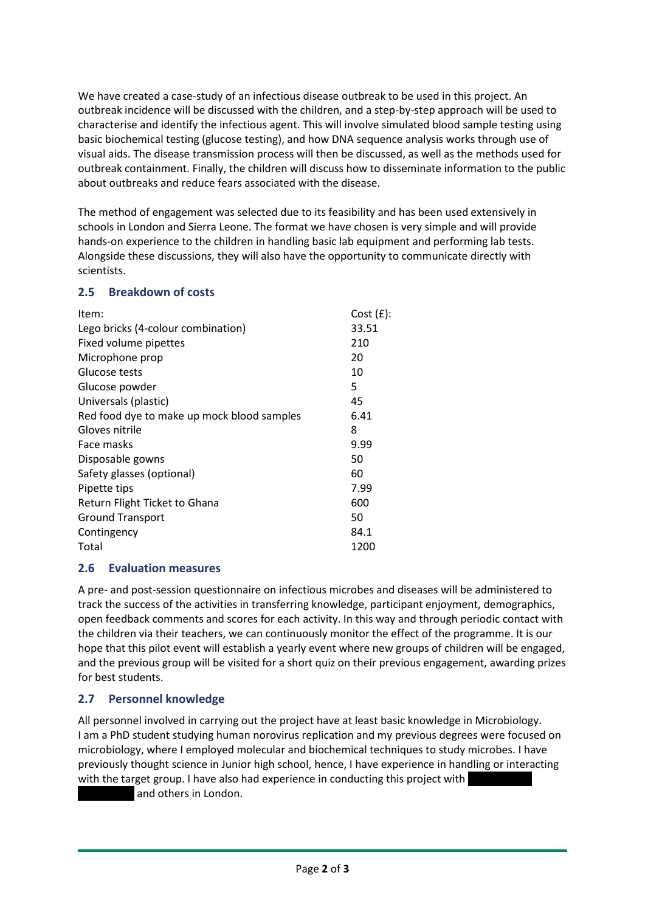We have created a case-study of an infectious disease outbreak to be used in this project. An outbreak incidence will be discussed with the children, and a step-by-step approach will be used to characterise and identify the infectious agent. This will involve simulated blood sample testing using basic biochemical testing (glucose testing), and how DNA sequence analysis works through use of visual aids. The disease transmission process will then be discussed, as well as the methods used for outbreak containment. Finally, the children will discuss how to disseminate information to the public about outbreaks and reduce fears associated with the disease.

The method of engagement was selected due to its feasibility and has been used extensively in schools in London and Sierra Leone. The format we have chosen is very simple and will provide hands-on experience to the children in handling basic lab equipment and performing lab tests. Alongside these discussions, they will also have the opportunity to communicate directly with scientists.

### **2.5 Breakdown of costs**

| $Cost(f)$ : |
|-------------|
| 33.51       |
| 210         |
| 20          |
| 10          |
| 5           |
| 45          |
| 6.41        |
| 8           |
| 9.99        |
| 50          |
| 60          |
| 7.99        |
| 600         |
| 50          |
| 84.1        |
| 1200        |
|             |

# **2.6 Evaluation measures**

A pre- and post-session questionnaire on infectious microbes and diseases will be administered to track the success of the activities in transferring knowledge, participant enjoyment, demographics, open feedback comments and scores for each activity. In this way and through periodic contact with the children via their teachers, we can continuously monitor the effect of the programme. It is our hope that this pilot event will establish a yearly event where new groups of children will be engaged, and the previous group will be visited for a short quiz on their previous engagement, awarding prizes for best students.

# **2.7 Personnel knowledge**

All personnel involved in carrying out the project have at least basic knowledge in Microbiology. I am a PhD student studying human norovirus replication and my previous degrees were focused on microbiology, where I employed molecular and biochemical techniques to study microbes. I have previously thought science in Junior high school, hence, I have experience in handling or interacting with the target group. I have also had experience in conducting this project with and others in London.